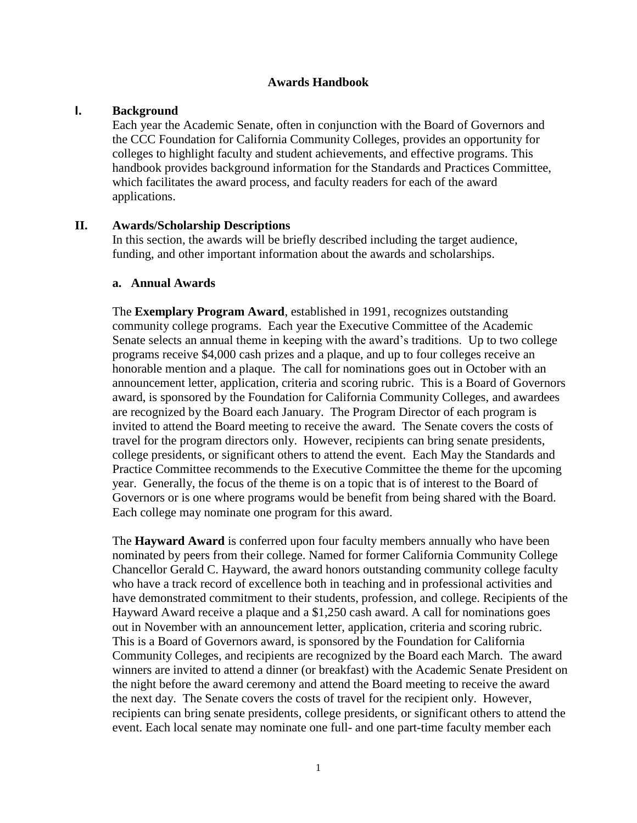#### **Awards Handbook**

#### **I. Background**

Each year the Academic Senate, often in conjunction with the Board of Governors and the CCC Foundation for California Community Colleges, provides an opportunity for colleges to highlight faculty and student achievements, and effective programs. This handbook provides background information for the Standards and Practices Committee, which facilitates the award process, and faculty readers for each of the award applications.

#### **II. Awards/Scholarship Descriptions**

In this section, the awards will be briefly described including the target audience, funding, and other important information about the awards and scholarships.

#### **a. Annual Awards**

The **Exemplary Program Award**, established in 1991, recognizes outstanding community college programs. Each year the Executive Committee of the Academic Senate selects an annual theme in keeping with the award's traditions. Up to two college programs receive \$4,000 cash prizes and a plaque, and up to four colleges receive an honorable mention and a plaque. The call for nominations goes out in October with an announcement letter, application, criteria and scoring rubric. This is a Board of Governors award, is sponsored by the Foundation for California Community Colleges, and awardees are recognized by the Board each January. The Program Director of each program is invited to attend the Board meeting to receive the award. The Senate covers the costs of travel for the program directors only. However, recipients can bring senate presidents, college presidents, or significant others to attend the event. Each May the Standards and Practice Committee recommends to the Executive Committee the theme for the upcoming year. Generally, the focus of the theme is on a topic that is of interest to the Board of Governors or is one where programs would be benefit from being shared with the Board. Each college may nominate one program for this award.

The **Hayward Award** is conferred upon four faculty members annually who have been nominated by peers from their college. Named for former California Community College Chancellor Gerald C. Hayward, the award honors outstanding community college faculty who have a track record of excellence both in teaching and in professional activities and have demonstrated commitment to their students, profession, and college. Recipients of the Hayward Award receive a plaque and a \$1,250 cash award. A call for nominations goes out in November with an announcement letter, application, criteria and scoring rubric. This is a Board of Governors award, is sponsored by the Foundation for California Community Colleges, and recipients are recognized by the Board each March. The award winners are invited to attend a dinner (or breakfast) with the Academic Senate President on the night before the award ceremony and attend the Board meeting to receive the award the next day. The Senate covers the costs of travel for the recipient only. However, recipients can bring senate presidents, college presidents, or significant others to attend the event. Each local senate may nominate one full- and one part-time faculty member each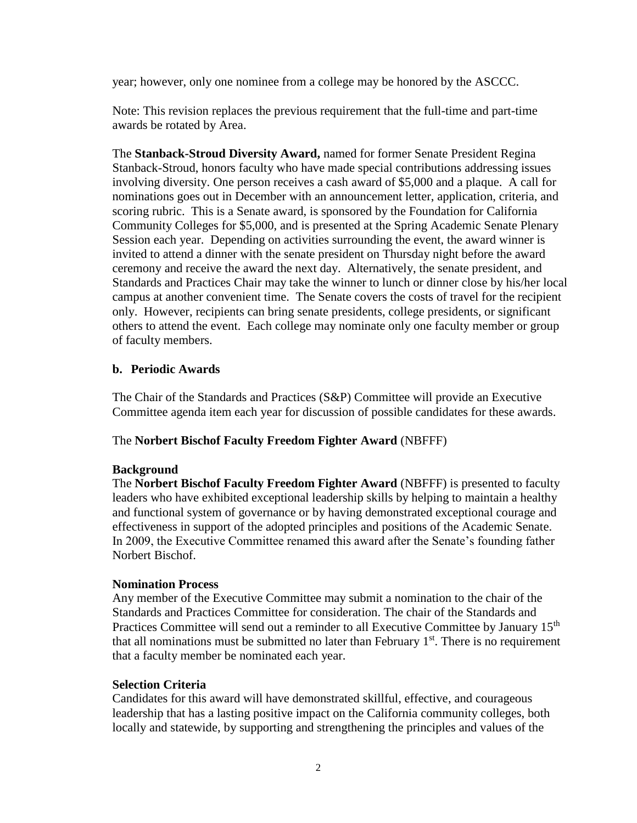year; however, only one nominee from a college may be honored by the ASCCC.

Note: This revision replaces the previous requirement that the full-time and part-time awards be rotated by Area.

The **Stanback-Stroud Diversity Award,** named for former Senate President Regina Stanback-Stroud, honors faculty who have made special contributions addressing issues involving diversity. One person receives a cash award of \$5,000 and a plaque. A call for nominations goes out in December with an announcement letter, application, criteria, and scoring rubric. This is a Senate award, is sponsored by the Foundation for California Community Colleges for \$5,000, and is presented at the Spring Academic Senate Plenary Session each year. Depending on activities surrounding the event, the award winner is invited to attend a dinner with the senate president on Thursday night before the award ceremony and receive the award the next day. Alternatively, the senate president, and Standards and Practices Chair may take the winner to lunch or dinner close by his/her local campus at another convenient time. The Senate covers the costs of travel for the recipient only. However, recipients can bring senate presidents, college presidents, or significant others to attend the event. Each college may nominate only one faculty member or group of faculty members.

### **b. Periodic Awards**

The Chair of the Standards and Practices (S&P) Committee will provide an Executive Committee agenda item each year for discussion of possible candidates for these awards.

### The **Norbert Bischof Faculty Freedom Fighter Award** (NBFFF)

#### **Background**

The **Norbert Bischof Faculty Freedom Fighter Award** (NBFFF) is presented to faculty leaders who have exhibited exceptional leadership skills by helping to maintain a healthy and functional system of governance or by having demonstrated exceptional courage and effectiveness in support of the adopted principles and positions of the Academic Senate. In 2009, the Executive Committee renamed this award after the Senate's founding father Norbert Bischof.

#### **Nomination Process**

Any member of the Executive Committee may submit a nomination to the chair of the Standards and Practices Committee for consideration. The chair of the Standards and Practices Committee will send out a reminder to all Executive Committee by January 15<sup>th</sup> that all nominations must be submitted no later than February  $1<sup>st</sup>$ . There is no requirement that a faculty member be nominated each year.

#### **Selection Criteria**

Candidates for this award will have demonstrated skillful, effective, and courageous leadership that has a lasting positive impact on the California community colleges, both locally and statewide, by supporting and strengthening the principles and values of the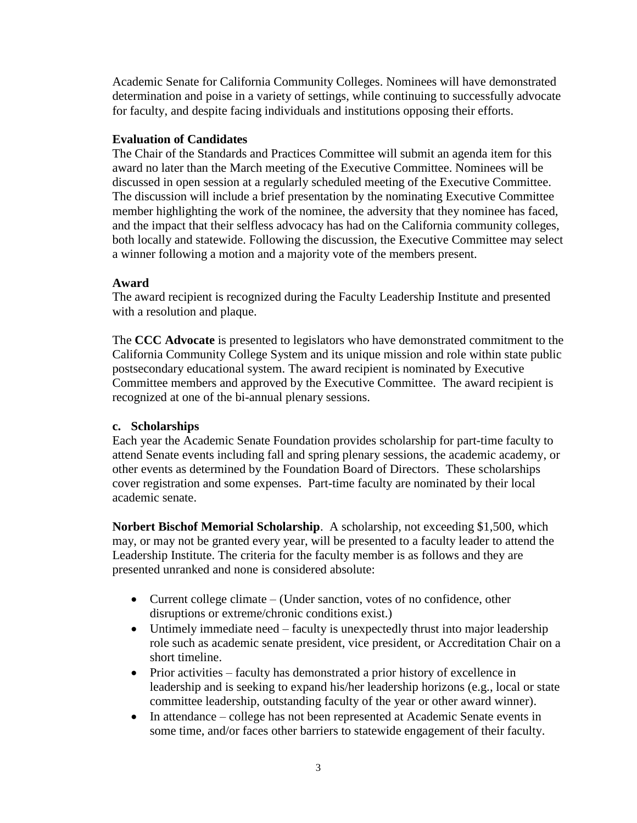Academic Senate for California Community Colleges. Nominees will have demonstrated determination and poise in a variety of settings, while continuing to successfully advocate for faculty, and despite facing individuals and institutions opposing their efforts.

### **Evaluation of Candidates**

The Chair of the Standards and Practices Committee will submit an agenda item for this award no later than the March meeting of the Executive Committee. Nominees will be discussed in open session at a regularly scheduled meeting of the Executive Committee. The discussion will include a brief presentation by the nominating Executive Committee member highlighting the work of the nominee, the adversity that they nominee has faced, and the impact that their selfless advocacy has had on the California community colleges, both locally and statewide. Following the discussion, the Executive Committee may select a winner following a motion and a majority vote of the members present.

### **Award**

The award recipient is recognized during the Faculty Leadership Institute and presented with a resolution and plaque.

The **CCC Advocate** is presented to legislators who have demonstrated commitment to the California Community College System and its unique mission and role within state public postsecondary educational system. The award recipient is nominated by Executive Committee members and approved by the Executive Committee. The award recipient is recognized at one of the bi-annual plenary sessions.

### **c. Scholarships**

Each year the Academic Senate Foundation provides scholarship for part-time faculty to attend Senate events including fall and spring plenary sessions, the academic academy, or other events as determined by the Foundation Board of Directors. These scholarships cover registration and some expenses. Part-time faculty are nominated by their local academic senate.

**Norbert Bischof Memorial Scholarship**. A scholarship, not exceeding \$1,500, which may, or may not be granted every year, will be presented to a faculty leader to attend the Leadership Institute. The criteria for the faculty member is as follows and they are presented unranked and none is considered absolute:

- Current college climate (Under sanction, votes of no confidence, other disruptions or extreme/chronic conditions exist.)
- Untimely immediate need faculty is unexpectedly thrust into major leadership role such as academic senate president, vice president, or Accreditation Chair on a short timeline.
- Prior activities faculty has demonstrated a prior history of excellence in leadership and is seeking to expand his/her leadership horizons (e.g., local or state committee leadership, outstanding faculty of the year or other award winner).
- In attendance college has not been represented at Academic Senate events in some time, and/or faces other barriers to statewide engagement of their faculty.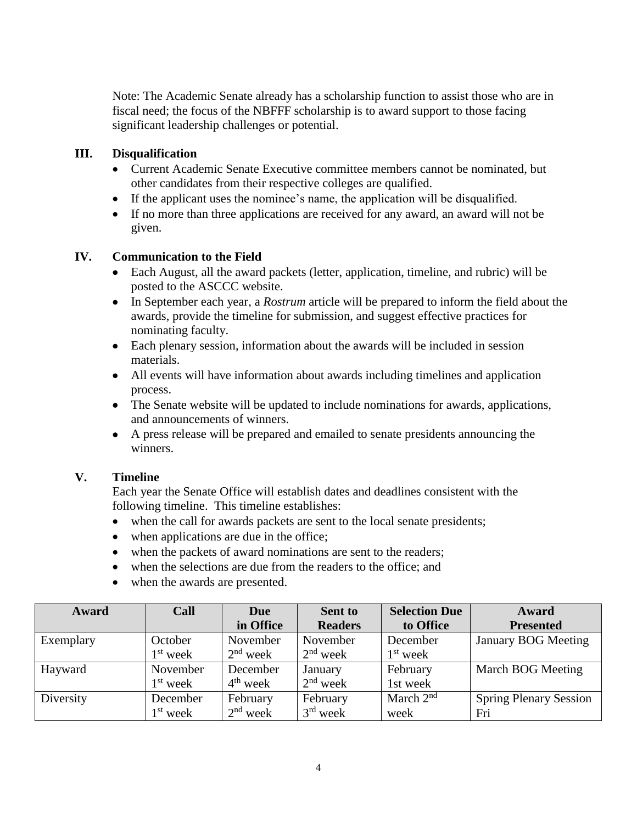Note: The Academic Senate already has a scholarship function to assist those who are in fiscal need; the focus of the NBFFF scholarship is to award support to those facing significant leadership challenges or potential.

### **III. Disqualification**

- Current Academic Senate Executive committee members cannot be nominated, but other candidates from their respective colleges are qualified.
- If the applicant uses the nominee's name, the application will be disqualified.
- If no more than three applications are received for any award, an award will not be given.

### **IV. Communication to the Field**

- Each August, all the award packets (letter, application, timeline, and rubric) will be posted to the ASCCC website.
- In September each year, a *Rostrum* article will be prepared to inform the field about the awards, provide the timeline for submission, and suggest effective practices for nominating faculty.
- Each plenary session, information about the awards will be included in session materials.
- All events will have information about awards including timelines and application process.
- The Senate website will be updated to include nominations for awards, applications, and announcements of winners.
- A press release will be prepared and emailed to senate presidents announcing the winners.

### **V. Timeline**

Each year the Senate Office will establish dates and deadlines consistent with the following timeline. This timeline establishes:

- when the call for awards packets are sent to the local senate presidents;
- when applications are due in the office;
- when the packets of award nominations are sent to the readers;
- when the selections are due from the readers to the office; and
- when the awards are presented.

| Award     | Call                 | Due        | <b>Sent to</b> | <b>Selection Due</b> | Award                         |
|-----------|----------------------|------------|----------------|----------------------|-------------------------------|
|           |                      | in Office  | <b>Readers</b> | to Office            | <b>Presented</b>              |
| Exemplary | October              | November   | November       | December             | <b>January BOG Meeting</b>    |
|           | $1st$ week           | $2nd$ week | $2nd$ week     | $1st$ week           |                               |
| Hayward   | November             | December   | January        | February             | March BOG Meeting             |
|           | $1st$ week           | $4th$ week | $2nd$ week     | 1st week             |                               |
| Diversity | December             | February   | February       | March $2nd$          | <b>Spring Plenary Session</b> |
|           | 1 <sup>st</sup> week | $2nd$ week | $3rd$ week     | week                 | Fri                           |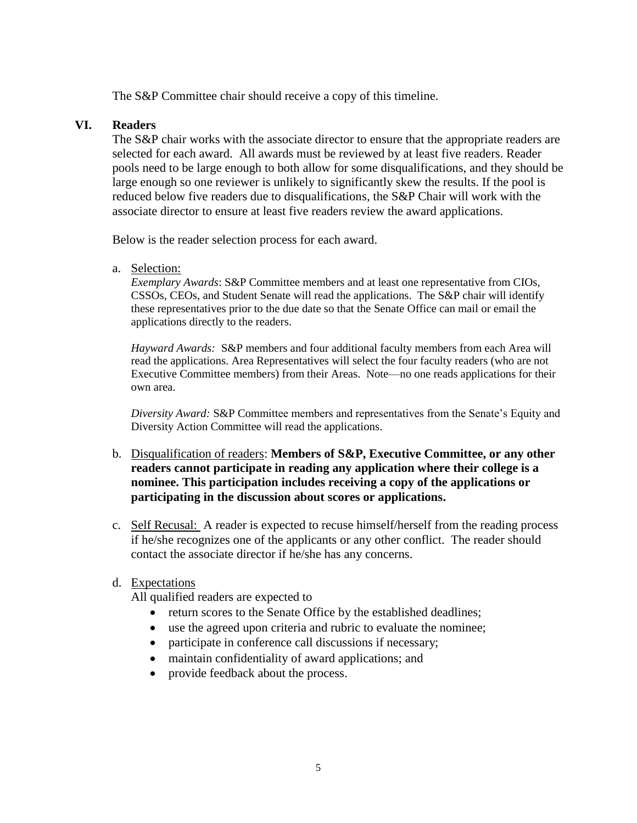The S&P Committee chair should receive a copy of this timeline.

#### **VI. Readers**

The S&P chair works with the associate director to ensure that the appropriate readers are selected for each award. All awards must be reviewed by at least five readers. Reader pools need to be large enough to both allow for some disqualifications, and they should be large enough so one reviewer is unlikely to significantly skew the results. If the pool is reduced below five readers due to disqualifications, the S&P Chair will work with the associate director to ensure at least five readers review the award applications.

Below is the reader selection process for each award.

a. Selection:

*Exemplary Awards*: S&P Committee members and at least one representative from CIOs, CSSOs, CEOs, and Student Senate will read the applications. The S&P chair will identify these representatives prior to the due date so that the Senate Office can mail or email the applications directly to the readers.

*Hayward Awards:* S&P members and four additional faculty members from each Area will read the applications. Area Representatives will select the four faculty readers (who are not Executive Committee members) from their Areas. Note—no one reads applications for their own area.

*Diversity Award:* S&P Committee members and representatives from the Senate's Equity and Diversity Action Committee will read the applications.

- b. Disqualification of readers: **Members of S&P, Executive Committee, or any other readers cannot participate in reading any application where their college is a nominee. This participation includes receiving a copy of the applications or participating in the discussion about scores or applications.**
- c. Self Recusal: A reader is expected to recuse himself/herself from the reading process if he/she recognizes one of the applicants or any other conflict. The reader should contact the associate director if he/she has any concerns.

### d. Expectations

All qualified readers are expected to

- return scores to the Senate Office by the established deadlines;
- use the agreed upon criteria and rubric to evaluate the nominee;
- participate in conference call discussions if necessary;
- maintain confidentiality of award applications; and
- provide feedback about the process.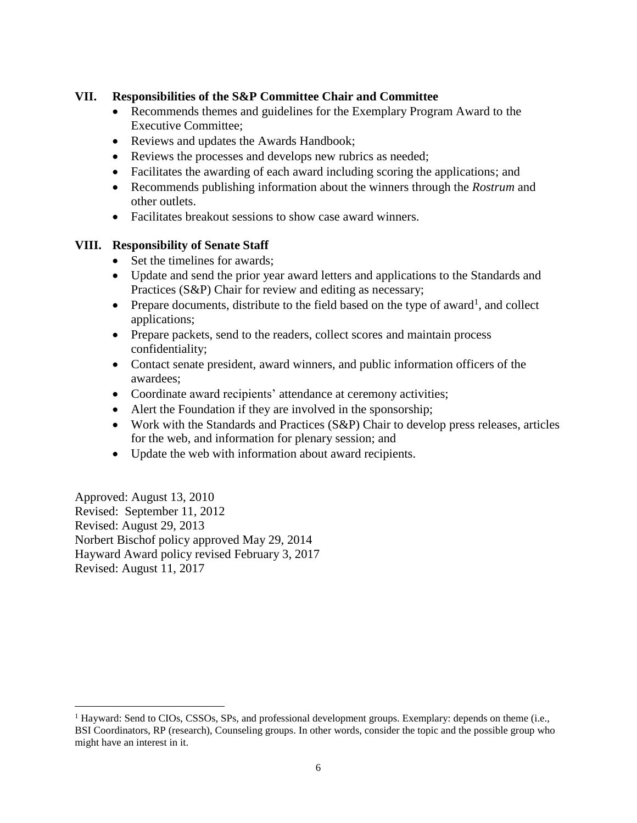### **VII. Responsibilities of the S&P Committee Chair and Committee**

- Recommends themes and guidelines for the Exemplary Program Award to the Executive Committee;
- Reviews and updates the Awards Handbook;
- Reviews the processes and develops new rubrics as needed;
- Facilitates the awarding of each award including scoring the applications; and
- Recommends publishing information about the winners through the *Rostrum* and other outlets.
- Facilitates breakout sessions to show case award winners.

### **VIII. Responsibility of Senate Staff**

- Set the timelines for awards:
- Update and send the prior year award letters and applications to the Standards and Practices (S&P) Chair for review and editing as necessary;
- Prepare documents, distribute to the field based on the type of award<sup>1</sup>, and collect applications;
- Prepare packets, send to the readers, collect scores and maintain process confidentiality;
- Contact senate president, award winners, and public information officers of the awardees;
- Coordinate award recipients' attendance at ceremony activities;
- Alert the Foundation if they are involved in the sponsorship;
- Work with the Standards and Practices (S&P) Chair to develop press releases, articles for the web, and information for plenary session; and
- Update the web with information about award recipients.

Approved: August 13, 2010 Revised: September 11, 2012 Revised: August 29, 2013 Norbert Bischof policy approved May 29, 2014 Hayward Award policy revised February 3, 2017 Revised: August 11, 2017

 $\overline{a}$ 

 $1$  Hayward: Send to CIOs, CSSOs, SPs, and professional development groups. Exemplary: depends on theme (i.e., BSI Coordinators, RP (research), Counseling groups. In other words, consider the topic and the possible group who might have an interest in it.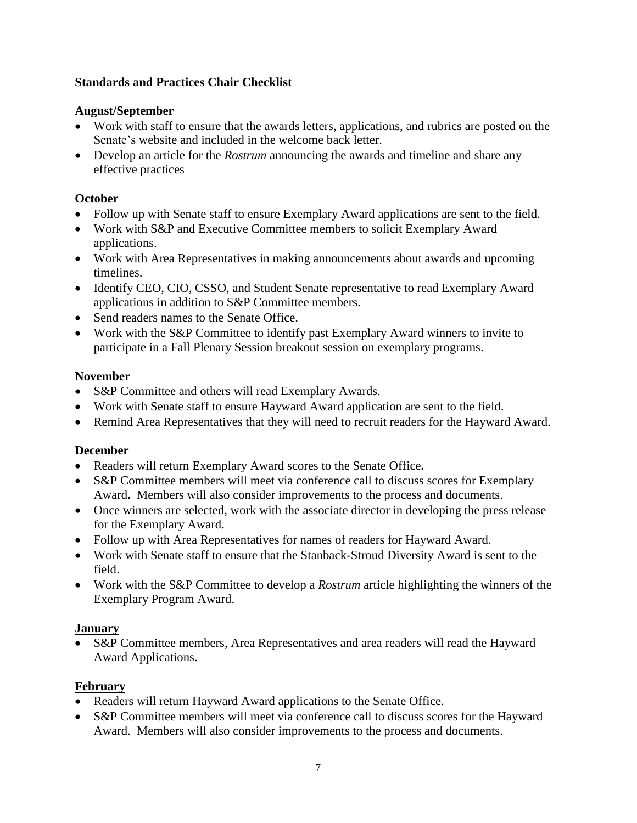## **Standards and Practices Chair Checklist**

### **August/September**

- Work with staff to ensure that the awards letters, applications, and rubrics are posted on the Senate's website and included in the welcome back letter.
- Develop an article for the *Rostrum* announcing the awards and timeline and share any effective practices

## **October**

- Follow up with Senate staff to ensure Exemplary Award applications are sent to the field.
- Work with S&P and Executive Committee members to solicit Exemplary Award applications.
- Work with Area Representatives in making announcements about awards and upcoming timelines.
- Identify CEO, CIO, CSSO, and Student Senate representative to read Exemplary Award applications in addition to S&P Committee members.
- Send readers names to the Senate Office.
- Work with the S&P Committee to identify past Exemplary Award winners to invite to participate in a Fall Plenary Session breakout session on exemplary programs.

## **November**

- S&P Committee and others will read Exemplary Awards.
- Work with Senate staff to ensure Hayward Award application are sent to the field.
- Remind Area Representatives that they will need to recruit readers for the Hayward Award.

### **December**

- Readers will return Exemplary Award scores to the Senate Office**.**
- S&P Committee members will meet via conference call to discuss scores for Exemplary Award**.** Members will also consider improvements to the process and documents.
- Once winners are selected, work with the associate director in developing the press release for the Exemplary Award.
- Follow up with Area Representatives for names of readers for Hayward Award.
- Work with Senate staff to ensure that the Stanback-Stroud Diversity Award is sent to the field.
- Work with the S&P Committee to develop a *Rostrum* article highlighting the winners of the Exemplary Program Award.

### **January**

 S&P Committee members, Area Representatives and area readers will read the Hayward Award Applications.

### **February**

- Readers will return Hayward Award applications to the Senate Office.
- S&P Committee members will meet via conference call to discuss scores for the Hayward Award. Members will also consider improvements to the process and documents.